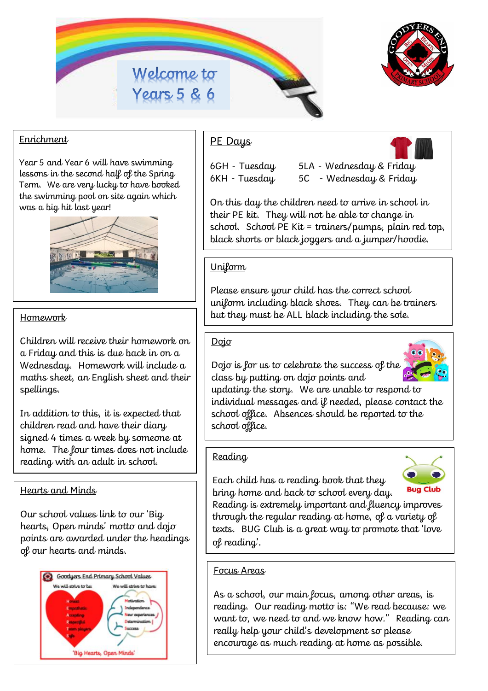



## Enrichment

Year 5 and Year 6 will have swimming lessons in the second half of the Spring Term. We are very lucky to have booked the swimming pool on site again which was a big hit last year!



Children will receive their homework on a Friday and this is due back in on a Wednesday. Homework will include a maths sheet, an English sheet and their spellings.

In addition to this, it is expected that children read and have their diary signed 4 times a week by someone at home. The four times does not include reading with an adult in school.

## Hearts and Minds

Our school values link to our 'Big hearts, Open minds' motto and dojo points are awarded under the headings of our hearts and minds.



# PE Days

- 6GH Tuesday 5LA Wednesday & Friday
- 6KH Tuesday 5C Wednesday & Friday

On this day the children need to arrive in school in their PE kit. They will not be able to change in school. School PE Kit = trainers/pumps, plain red top, black shorts or black joggers and a jumper/hoodie.

## **Uniform**

Please ensure your child has the correct school uniform including black shoes. They can be trainers Homework **but they must be <u>ALL</u> black including the sole.** 

### Dojo

Dojo is for us to celebrate the success of the class by putting on dojo points and



updating the story. We are unable to respond to individual messages and if needed, please contact the school office. Absences should be reported to the school office.

### Reading

Each child has a reading book that they bring home and back to school every day.



Reading is extremely important and fluency improves through the regular reading at home, of a variety of texts. BUG Club is a great way to promote that 'love of reading'.

## Focus Areas

As a school, our main focus, among other areas, is reading. Our reading motto is: "We read because: we want to, we need to and we know how." Reading can really help your child's development so please encourage as much reading at home as possible.